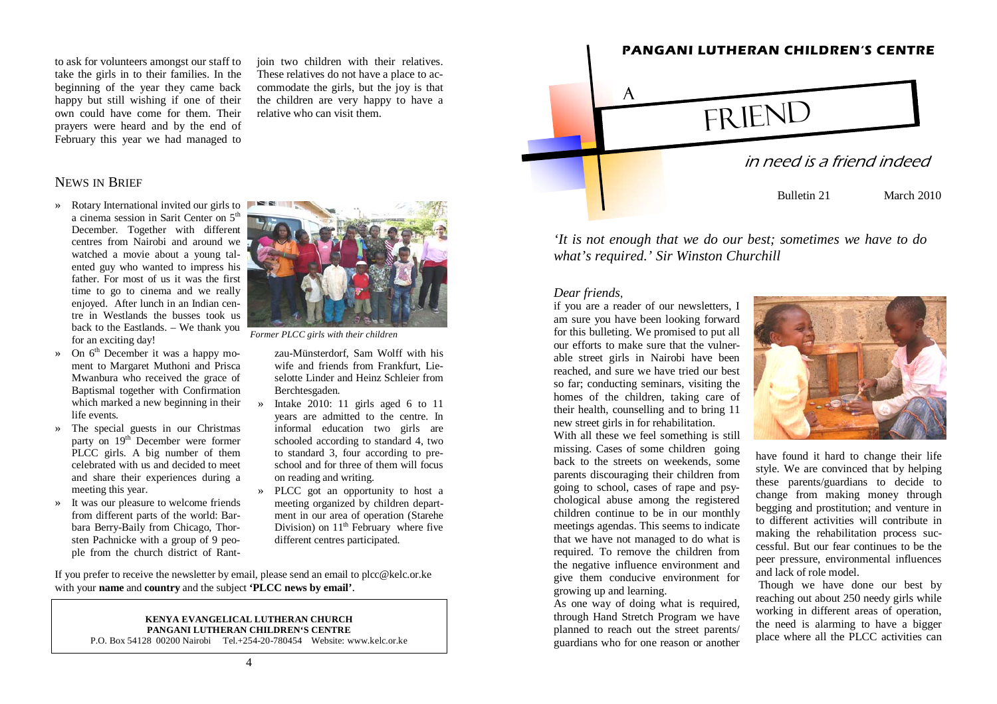to ask for volunteers amongst our staff to take the girls in to their families. In the beginning of the year they came back happy but still wishing if one of their own could have come for them. Their prayers were heard and by the end of February this year we had managed to

join two children with their relatives. These relatives do not have a place to accommodate the girls, but the joy is that the children are very happy to have a relative who can visit them.

### NEWS IN BRIEF

- » Rotary International invited our girls to a cinema session in Sarit Center on 5<sup>th</sup> December. Together with different centres from Nairobi and around we watched a movie about a young talented guy who wanted to impress his father. For most of us it was the first time to go to cinema and we really enjoyed. After lunch in an Indian centre in Westlands the busses took us back to the Eastlands. – We thank you for an exciting day!
- » On  $6<sup>th</sup>$  December it was a happy moment to Margaret Muthoni and Prisca Mwanbura who received the grace of Baptismal together with Confirmation which marked a new beginning in their life events.
- » The special guests in our Christmas party on 19<sup>th</sup> December were former PLCC girls. A big number of them celebrated with us and decided to meet and share their experiences during a meeting this year.
- » It was our pleasure to welcome friends from different parts of the world: Barbara Berry-Baily from Chicago, Thorsten Pachnicke with a group of 9 people from the church district of Rant-



*Former PLCC girls with their children* 

zau-Münsterdorf, Sam Wolff with his wife and friends from Frankfurt, Lie-

- selotte Linder and Heinz Schleier from<br>Berchtesgaden.<br>
» Intake 2010: 11 girls aged 6 to 11<br>
years are admitted to the centre. In<br>
informal education two girls are<br>
schooled according to standard 4, two<br>
to standard 3, fou
- school and for three of them will focus<br>on reading and writing.<br>» PLCC got an opportunity to host a<br>meeting organized by children depart-<br>ment in our area of operation (Starehe Division) on  $11<sup>th</sup>$  February where five different centres participated.

If you prefer to receive the newsletter by email, please send an email to plcc@kelc.or.ke with your **name** and **country** and the subject **'PLCC news by email'**.

### **KENYA EVANGELICAL LUTHERAN CHURCH PANGANI LUTHERAN CHILDREN'S CENTRE**

P.O. Box 54128 00200 Nairobi Tel.+254-20-780454 Website: www.kelc.or.ke



*'It is not enough that we do our best; sometimes we have to do what's required.' Sir Winston Churchill* 

### *Dear friends*,

if you are a reader of our newsletters, I am sure you have been looking forward for this bulleting. We promised to put all our efforts to make sure that the vulnerable street girls in Nairobi have been reached, and sure we have tried our best so far; conducting seminars, visiting the homes of the children, taking care of their health, counselling and to bring 11 new street girls in for rehabilitation.

With all these we feel something is still missing. Cases of some children going back to the streets on weekends, some parents discouraging their children from going to school, cases of rape and psychological abuse among the registered children continue to be in our monthly meetings agendas. This seems to indicate that we have not managed to do what is required. To remove the children from the negative influence environment and give them conducive environment for growing up and learning.

As one way of doing what is required, through Hand Stretch Program we have planned to reach out the street parents/ guardians who for one reason or another



have found it hard to change their life style. We are convinced that by helping these parents/guardians to decide to change from making money through begging and prostitution; and venture in to different activities will contribute in making the rehabilitation process successful. But our fear continues to be the peer pressure, environmental influences and lack of role model.

 Though we have done our best by reaching out about 250 needy girls while working in different areas of operation, the need is alarming to have a bigger place where all the PLCC activities can